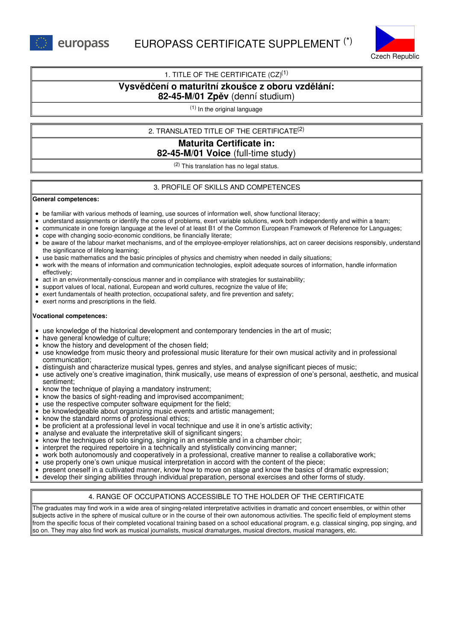



## 1. TITLE OF THE CERTIFICATE  $(CZ)^{(1)}$

# **Vysvědčení o maturitní zkoušce z oboru vzdělání:**

## **82-45-M/01 Zpěv** (denní studium)

(1) In the original language

## 2. TRANSLATED TITLE OF THE CERTIFICATE (2)

## **Maturita Certificate in: 82-45-M/01 Voice** (full-time study)

(2) This translation has no legal status.

### 3. PROFILE OF SKILLS AND COMPETENCES

#### **General competences:**

- be familiar with various methods of learning, use sources of information well, show functional literacy;
- understand assignments or identify the cores of problems, exert variable solutions, work both independently and within a team;
- communicate in one foreign language at the level of at least B1 of the Common European Framework of Reference for Languages;
- cope with changing socio-economic conditions, be financially literate;
- be aware of the labour market mechanisms, and of the employee-employer relationships, act on career decisions responsibly, understand the significance of lifelong learning;
- use basic mathematics and the basic principles of physics and chemistry when needed in daily situations;
- work with the means of information and communication technologies, exploit adequate sources of information, handle information effectively;
- $\bullet$ act in an environmentally-conscious manner and in compliance with strategies for sustainability;
- support values of local, national, European and world cultures, recognize the value of life;
- exert fundamentals of health protection, occupational safety, and fire prevention and safety;
- exert norms and prescriptions in the field.

### **Vocational competences:**

- use knowledge of the historical development and contemporary tendencies in the art of music;
- have general knowledge of culture;
- know the history and development of the chosen field;
- use knowledge from music theory and professional music literature for their own musical activity and in professional communication;
- distinguish and characterize musical types, genres and styles, and analyse significant pieces of music;
- use actively one's creative imagination, think musically, use means of expression of one's personal, aesthetic, and musical sentiment;
- know the technique of playing a mandatory instrument;
- know the basics of sight-reading and improvised accompaniment;
- use the respective computer software equipment for the field;
- be knowledgeable about organizing music events and artistic management;
- know the standard norms of professional ethics;
- be proficient at a professional level in vocal technique and use it in one's artistic activity;
- analyse and evaluate the interpretative skill of significant singers;
- know the techniques of solo singing, singing in an ensemble and in a chamber choir;
- interpret the required repertoire in a technically and stylistically convincing manner;  $\bullet$
- work both autonomously and cooperatively in a professional, creative manner to realise a collaborative work;
- use properly one's own unique musical interpretation in accord with the content of the piece;
- present oneself in a cultivated manner, know how to move on stage and know the basics of dramatic expression;
- develop their singing abilities through individual preparation, personal exercises and other forms of study.

# 4. RANGE OF OCCUPATIONS ACCESSIBLE TO THE HOLDER OF THE CERTIFICATE

The graduates may find work in a wide area of singing-related interpretative activities in dramatic and concert ensembles, or within other subjects active in the sphere of musical culture or in the course of their own autonomous activities. The specific field of employment stems from the specific focus of their completed vocational training based on a school educational program, e.g. classical singing, pop singing, and so on. They may also find work as musical journalists, musical dramaturges, musical directors, musical managers, etc.